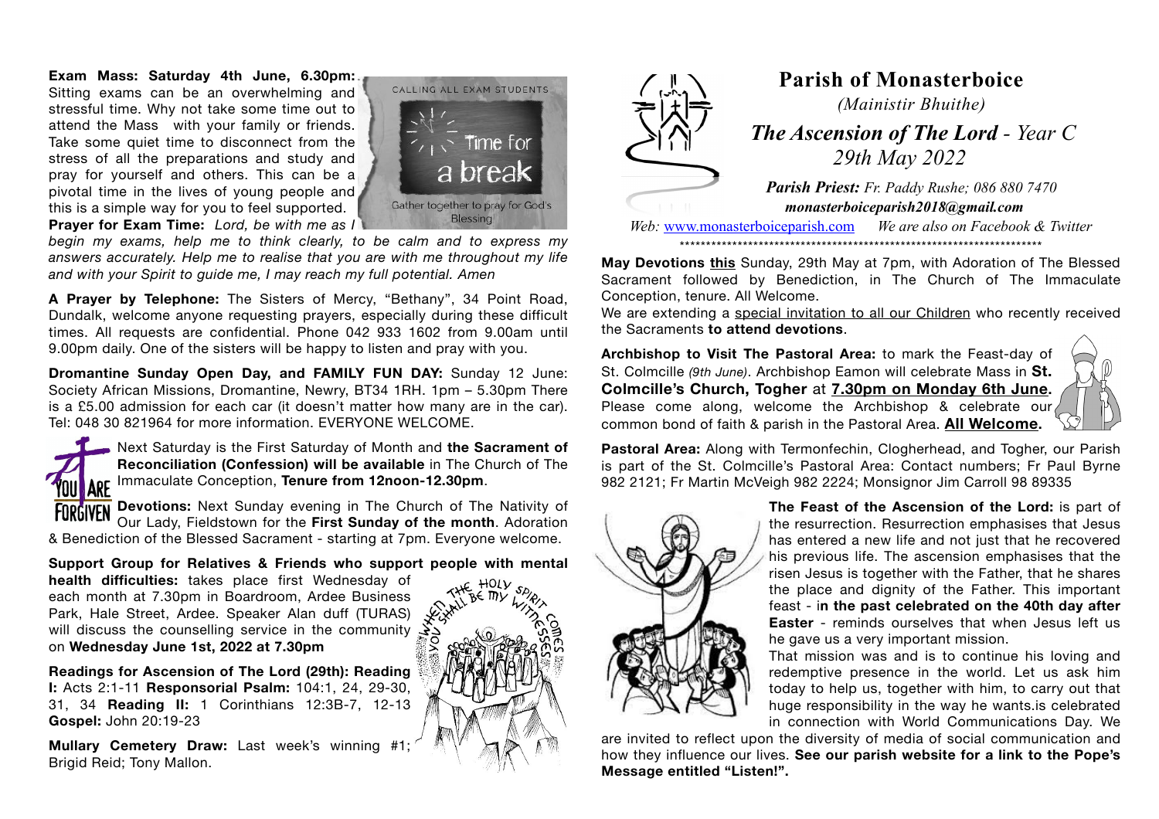**Exam Mass: Saturday 4th June, 6.30pm:** Sitting exams can be an overwhelming and stressful time. Why not take some time out to attend the Mass with your family or friends. Take some quiet time to disconnect from the stress of all the preparations and study and pray for yourself and others. This can be a pivotal time in the lives of young people and this is a simple way for you to feel supported. **Prayer for Exam Time:** *Lord, be with me as I* 



*begin my exams, help me to think clearly, to be calm and to express my answers accurately. Help me to realise that you are with me throughout my life and with your Spirit to guide me, I may reach my full potential. Amen* 

**A Prayer by Telephone:** The Sisters of Mercy, "Bethany", 34 Point Road, Dundalk, welcome anyone requesting prayers, especially during these difficult times. All requests are confidential. Phone 042 933 1602 from 9.00am until 9.00pm daily. One of the sisters will be happy to listen and pray with you.

**Dromantine Sunday Open Day, and FAMILY FUN DAY:** Sunday 12 June: Society African Missions, Dromantine, Newry, BT34 1RH. 1pm – 5.30pm There is a £5.00 admission for each car (it doesn't matter how many are in the car). Tel: 048 30 821964 for more information. EVERYONE WELCOME.



Next Saturday is the First Saturday of Month and **the Sacrament of Reconciliation (Confession) will be available** in The Church of The **ARE** Immaculate Conception, **Tenure from 12noon-12.30pm.** 

**Devotions:** Next Sunday evening in The Church of The Nativity of Our Lady, Fieldstown for the **First Sunday of the month**. Adoration & Benediction of the Blessed Sacrament - starting at 7pm. Everyone welcome.

**Support Group for Relatives & Friends who support people with mental**

**health difficulties:** takes place first Wednesday of each month at 7.30pm in Boardroom, Ardee Business Park, Hale Street, Ardee. Speaker Alan duff (TURAS) will discuss the counselling service in the community on **Wednesday June 1st, 2022 at 7.30pm**

**Readings for Ascension of The Lord (29th): Reading I:** Acts 2:1-11 **Responsorial Psalm:** 104:1, 24, 29-30, 31, 34 **Reading II:** 1 Corinthians 12:3B-7, 12-13 **Gospel:** John 20:19-23

**Mullary Cemetery Draw:** Last week's winning #1; Brigid Reid; Tony Mallon.





## **Parish of Monasterboice** *(Mainistir Bhuithe)*

 *The Ascension of The Lord - Year C 29th May 2022*

*Parish Priest: Fr. Paddy Rushe; 086 880 7470 monasterboiceparish2018@gmail.com* 

*Web:* [www.monasterboiceparish.com](http://www.monasterboiceparish.com) *We are also on Facebook & Twitter* \*\*\*\*\*\*\*\*\*\*\*\*\*\*\*\*\*\*\*\*\*\*\*\*\*\*\*\*\*\*\*\*\*\*\*\*\*\*\*\*\*\*\*\*\*\*\*\*\*\*\*\*\*\*\*\*\*\*\*\*\*\*\*\*\*\*\*\*\*

**May Devotions this** Sunday, 29th May at 7pm, with Adoration of The Blessed Sacrament followed by Benediction, in The Church of The Immaculate Conception, tenure. All Welcome.

We are extending a special invitation to all our Children who recently received the Sacraments **to attend devotions**.

**Archbishop to Visit The Pastoral Area:** to mark the Feast-day of St. Colmcille *(9th June)*. Archbishop Eamon will celebrate Mass in **St. Colmcille's Church, Togher** at **7.30pm on Monday 6th June.** Please come along, welcome the Archbishop & celebrate our common bond of faith & parish in the Pastoral Area. **All Welcome.** 



**Pastoral Area:** Along with Termonfechin, Clogherhead, and Togher, our Parish is part of the St. Colmcille's Pastoral Area: Contact numbers; Fr Paul Byrne 982 2121; Fr Martin McVeigh 982 2224; Monsignor Jim Carroll 98 89335



**The Feast of the Ascension of the Lord:** is part of the resurrection. Resurrection emphasises that Jesus has entered a new life and not just that he recovered his previous life. The ascension emphasises that the risen Jesus is together with the Father, that he shares the place and dignity of the Father. This important feast - i**n the past celebrated on the 40th day after Easter** - reminds ourselves that when Jesus left us he gave us a very important mission.

That mission was and is to continue his loving and redemptive presence in the world. Let us ask him today to help us, together with him, to carry out that huge responsibility in the way he wants.is celebrated in connection with World Communications Day. We

are invited to reflect upon the diversity of media of social communication and how they influence our lives. **See our parish website for a link to the Pope's Message entitled "Listen!".**